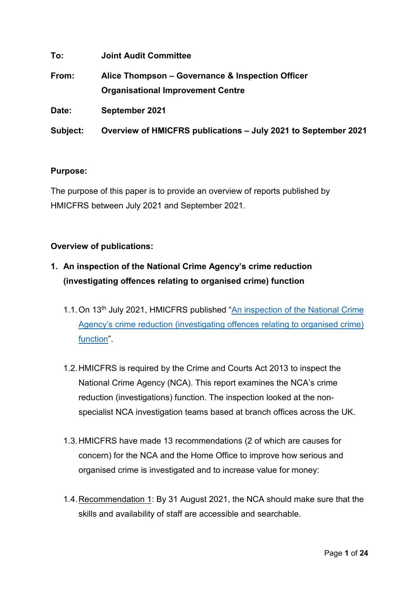| To:      | <b>Joint Audit Committee</b>                                                                 |
|----------|----------------------------------------------------------------------------------------------|
| From:    | Alice Thompson – Governance & Inspection Officer<br><b>Organisational Improvement Centre</b> |
| Date:    | September 2021                                                                               |
| Subject: | Overview of HMICFRS publications - July 2021 to September 2021                               |

### **Purpose:**

The purpose of this paper is to provide an overview of reports published by HMICFRS between July 2021 and September 2021.

### **Overview of publications:**

- **1. An inspection of the National Crime Agency's crime reduction (investigating offences relating to organised crime) function**
	- 1.1. On 13<sup>th</sup> July 2021, HMICFRS published "An inspection of the National Crime [Agency's crime reduction \(investigating offences relating to organised crime\)](https://www.justiceinspectorates.gov.uk/hmicfrs/wp-content/uploads/inspection-of-nca-crime-reduction-investigating-offences-relating-to-organised-crime-function.pdf)  [function"](https://www.justiceinspectorates.gov.uk/hmicfrs/wp-content/uploads/inspection-of-nca-crime-reduction-investigating-offences-relating-to-organised-crime-function.pdf).
	- 1.2.HMICFRS is required by the Crime and Courts Act 2013 to inspect the National Crime Agency (NCA). This report examines the NCA's crime reduction (investigations) function. The inspection looked at the nonspecialist NCA investigation teams based at branch offices across the UK.
	- 1.3.HMICFRS have made 13 recommendations (2 of which are causes for concern) for the NCA and the Home Office to improve how serious and organised crime is investigated and to increase value for money:
	- 1.4.Recommendation 1: By 31 August 2021, the NCA should make sure that the skills and availability of staff are accessible and searchable.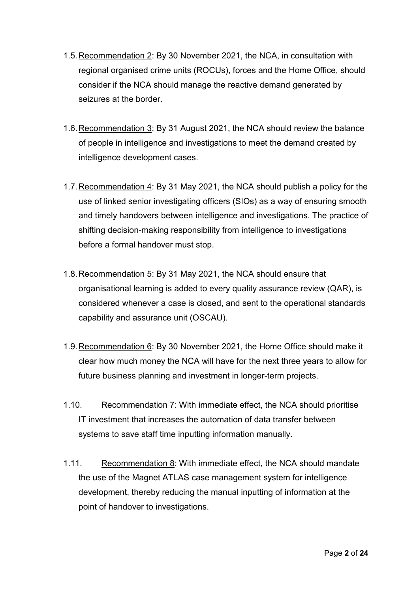- 1.5.Recommendation 2: By 30 November 2021, the NCA, in consultation with regional organised crime units (ROCUs), forces and the Home Office, should consider if the NCA should manage the reactive demand generated by seizures at the border.
- 1.6. Recommendation 3: By 31 August 2021, the NCA should review the balance of people in intelligence and investigations to meet the demand created by intelligence development cases.
- 1.7.Recommendation 4: By 31 May 2021, the NCA should publish a policy for the use of linked senior investigating officers (SIOs) as a way of ensuring smooth and timely handovers between intelligence and investigations. The practice of shifting decision-making responsibility from intelligence to investigations before a formal handover must stop.
- 1.8.Recommendation 5: By 31 May 2021, the NCA should ensure that organisational learning is added to every quality assurance review (QAR), is considered whenever a case is closed, and sent to the operational standards capability and assurance unit (OSCAU).
- 1.9.Recommendation 6: By 30 November 2021, the Home Office should make it clear how much money the NCA will have for the next three years to allow for future business planning and investment in longer-term projects.
- 1.10. Recommendation 7: With immediate effect, the NCA should prioritise IT investment that increases the automation of data transfer between systems to save staff time inputting information manually.
- 1.11. Recommendation 8: With immediate effect, the NCA should mandate the use of the Magnet ATLAS case management system for intelligence development, thereby reducing the manual inputting of information at the point of handover to investigations.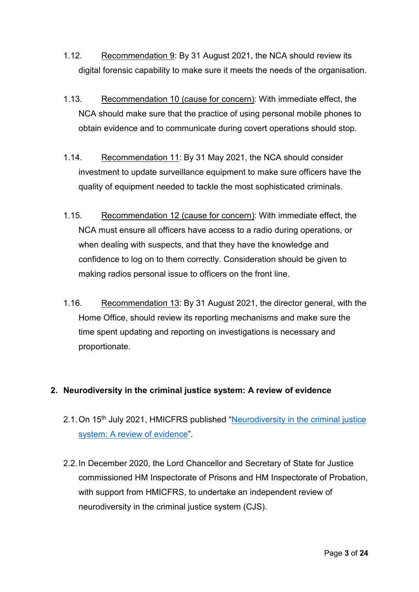- 1.12. Recommendation 9: By 31 August 2021, the NCA should review its digital forensic capability to make sure it meets the needs of the organisation.
- 1.13. Recommendation 10 (cause for concern): With immediate effect, the NCA should make sure that the practice of using personal mobile phones to obtain evidence and to communicate during covert operations should stop.
- 1.14. Recommendation 11: By 31 May 2021, the NCA should consider investment to update surveillance equipment to make sure officers have the quality of equipment needed to tackle the most sophisticated criminals.
- 1.15. Recommendation 12 (cause for concern): With immediate effect, the NCA must ensure all officers have access to a radio during operations, or when dealing with suspects, and that they have the knowledge and confidence to log on to them correctly. Consideration should be given to making radios personal issue to officers on the front line.
- 1.16. Recommendation 13: By 31 August 2021, the director general, with the Home Office, should review its reporting mechanisms and make sure the time spent updating and reporting on investigations is necessary and proportionate.

### **2. Neurodiversity in the criminal justice system: A review of evidence**

- 2.1. On 15<sup>th</sup> July 2021, HMICFRS published "Neurodiversity in the criminal justice [system: A review of evidence"](https://www.justiceinspectorates.gov.uk/cjji/wp-content/uploads/sites/2/2021/07/Neurodiversity-evidence-review-web-2021.pdf).
- 2.2.In December 2020, the Lord Chancellor and Secretary of State for Justice commissioned HM Inspectorate of Prisons and HM Inspectorate of Probation, with support from HMICFRS, to undertake an independent review of neurodiversity in the criminal justice system (CJS).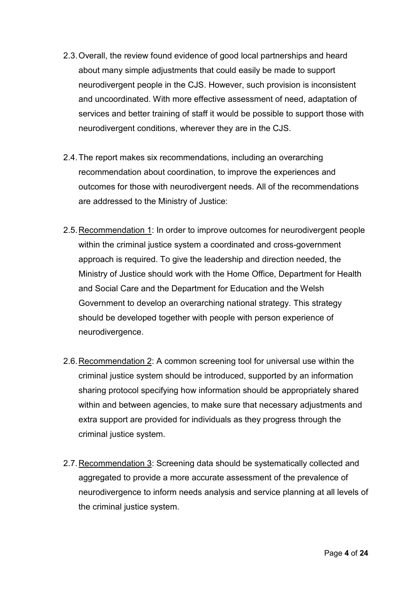- 2.3.Overall, the review found evidence of good local partnerships and heard about many simple adjustments that could easily be made to support neurodivergent people in the CJS. However, such provision is inconsistent and uncoordinated. With more effective assessment of need, adaptation of services and better training of staff it would be possible to support those with neurodivergent conditions, wherever they are in the CJS.
- 2.4.The report makes six recommendations, including an overarching recommendation about coordination, to improve the experiences and outcomes for those with neurodivergent needs. All of the recommendations are addressed to the Ministry of Justice:
- 2.5.Recommendation 1: In order to improve outcomes for neurodivergent people within the criminal justice system a coordinated and cross-government approach is required. To give the leadership and direction needed, the Ministry of Justice should work with the Home Office, Department for Health and Social Care and the Department for Education and the Welsh Government to develop an overarching national strategy. This strategy should be developed together with people with person experience of neurodivergence.
- 2.6.Recommendation 2: A common screening tool for universal use within the criminal justice system should be introduced, supported by an information sharing protocol specifying how information should be appropriately shared within and between agencies, to make sure that necessary adjustments and extra support are provided for individuals as they progress through the criminal justice system.
- 2.7.Recommendation 3: Screening data should be systematically collected and aggregated to provide a more accurate assessment of the prevalence of neurodivergence to inform needs analysis and service planning at all levels of the criminal justice system.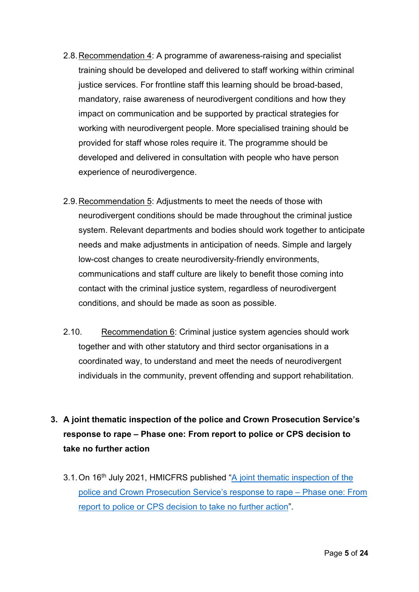- 2.8.Recommendation 4: A programme of awareness-raising and specialist training should be developed and delivered to staff working within criminal justice services. For frontline staff this learning should be broad-based, mandatory, raise awareness of neurodivergent conditions and how they impact on communication and be supported by practical strategies for working with neurodivergent people. More specialised training should be provided for staff whose roles require it. The programme should be developed and delivered in consultation with people who have person experience of neurodivergence.
- 2.9.Recommendation 5: Adjustments to meet the needs of those with neurodivergent conditions should be made throughout the criminal justice system. Relevant departments and bodies should work together to anticipate needs and make adjustments in anticipation of needs. Simple and largely low-cost changes to create neurodiversity-friendly environments, communications and staff culture are likely to benefit those coming into contact with the criminal justice system, regardless of neurodivergent conditions, and should be made as soon as possible.
- 2.10. Recommendation 6: Criminal justice system agencies should work together and with other statutory and third sector organisations in a coordinated way, to understand and meet the needs of neurodivergent individuals in the community, prevent offending and support rehabilitation.
- **3. A joint thematic inspection of the police and Crown Prosecution Service's response to rape – Phase one: From report to police or CPS decision to take no further action**
	- 3.1. On 16<sup>th</sup> July 2021, HMICFRS published "A joint thematic inspection of the [police and Crown Prosecution Service's response to rape –](https://www.justiceinspectorates.gov.uk/hmicfrs/wp-content/uploads/joint-thematic-inspection-of-police-and-cps-response-to-rape-phase-one.pdf) Phase one: From [report to police or CPS decision to take no further action"](https://www.justiceinspectorates.gov.uk/hmicfrs/wp-content/uploads/joint-thematic-inspection-of-police-and-cps-response-to-rape-phase-one.pdf).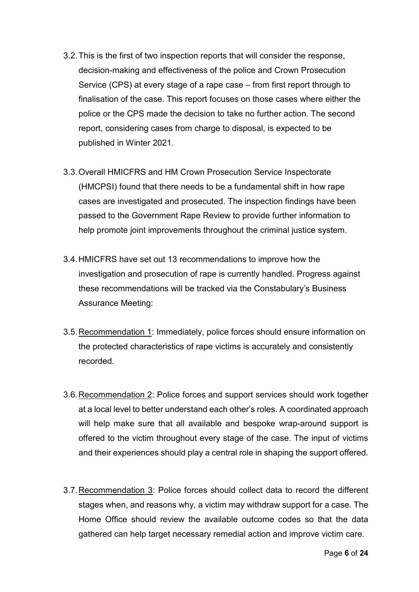- 3.2.This is the first of two inspection reports that will consider the response, decision-making and effectiveness of the police and Crown Prosecution Service (CPS) at every stage of a rape case – from first report through to finalisation of the case. This report focuses on those cases where either the police or the CPS made the decision to take no further action. The second report, considering cases from charge to disposal, is expected to be published in Winter 2021.
- 3.3.Overall HMICFRS and HM Crown Prosecution Service Inspectorate (HMCPSI) found that there needs to be a fundamental shift in how rape cases are investigated and prosecuted. The inspection findings have been passed to the Government Rape Review to provide further information to help promote joint improvements throughout the criminal justice system.
- 3.4.HMICFRS have set out 13 recommendations to improve how the investigation and prosecution of rape is currently handled. Progress against these recommendations will be tracked via the Constabulary's Business Assurance Meeting:
- 3.5.Recommendation 1: Immediately, police forces should ensure information on the protected characteristics of rape victims is accurately and consistently recorded.
- 3.6.Recommendation 2: Police forces and support services should work together at a local level to better understand each other's roles. A coordinated approach will help make sure that all available and bespoke wrap-around support is offered to the victim throughout every stage of the case. The input of victims and their experiences should play a central role in shaping the support offered.
- 3.7.Recommendation 3: Police forces should collect data to record the different stages when, and reasons why, a victim may withdraw support for a case. The Home Office should review the available outcome codes so that the data gathered can help target necessary remedial action and improve victim care.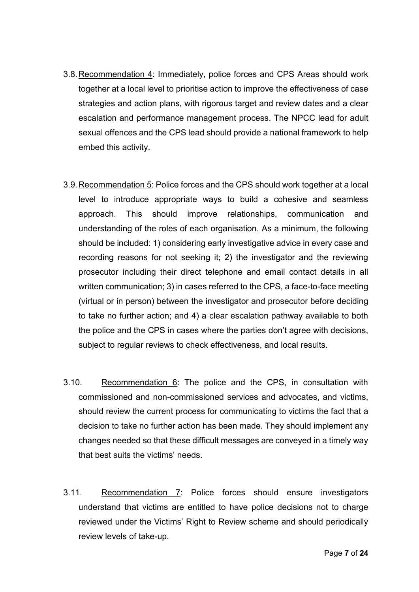- 3.8.Recommendation 4: Immediately, police forces and CPS Areas should work together at a local level to prioritise action to improve the effectiveness of case strategies and action plans, with rigorous target and review dates and a clear escalation and performance management process. The NPCC lead for adult sexual offences and the CPS lead should provide a national framework to help embed this activity.
- 3.9.Recommendation 5: Police forces and the CPS should work together at a local level to introduce appropriate ways to build a cohesive and seamless approach. This should improve relationships, communication and understanding of the roles of each organisation. As a minimum, the following should be included: 1) considering early investigative advice in every case and recording reasons for not seeking it; 2) the investigator and the reviewing prosecutor including their direct telephone and email contact details in all written communication; 3) in cases referred to the CPS, a face-to-face meeting (virtual or in person) between the investigator and prosecutor before deciding to take no further action; and 4) a clear escalation pathway available to both the police and the CPS in cases where the parties don't agree with decisions, subject to regular reviews to check effectiveness, and local results.
- 3.10. Recommendation 6: The police and the CPS, in consultation with commissioned and non-commissioned services and advocates, and victims, should review the current process for communicating to victims the fact that a decision to take no further action has been made. They should implement any changes needed so that these difficult messages are conveyed in a timely way that best suits the victims' needs.
- 3.11. Recommendation 7: Police forces should ensure investigators understand that victims are entitled to have police decisions not to charge reviewed under the Victims' Right to Review scheme and should periodically review levels of take-up.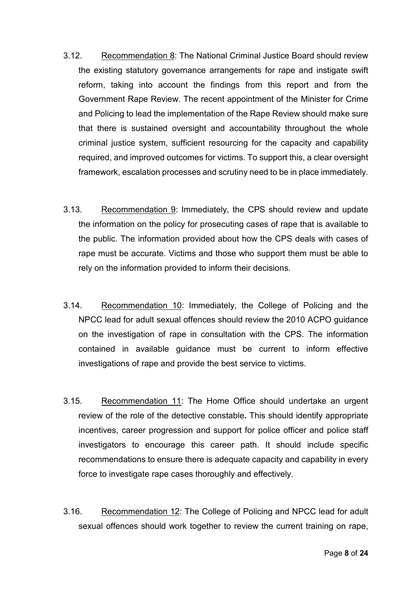- 3.12. Recommendation 8: The National Criminal Justice Board should review the existing statutory governance arrangements for rape and instigate swift reform, taking into account the findings from this report and from the Government Rape Review. The recent appointment of the Minister for Crime and Policing to lead the implementation of the Rape Review should make sure that there is sustained oversight and accountability throughout the whole criminal justice system, sufficient resourcing for the capacity and capability required, and improved outcomes for victims. To support this, a clear oversight framework, escalation processes and scrutiny need to be in place immediately.
- 3.13. Recommendation 9: Immediately, the CPS should review and update the information on the policy for prosecuting cases of rape that is available to the public. The information provided about how the CPS deals with cases of rape must be accurate. Victims and those who support them must be able to rely on the information provided to inform their decisions.
- 3.14. Recommendation 10: Immediately, the College of Policing and the NPCC lead for adult sexual offences should review the 2010 ACPO guidance on the investigation of rape in consultation with the CPS. The information contained in available guidance must be current to inform effective investigations of rape and provide the best service to victims.
- 3.15. Recommendation 11: The Home Office should undertake an urgent review of the role of the detective constable**.** This should identify appropriate incentives, career progression and support for police officer and police staff investigators to encourage this career path. It should include specific recommendations to ensure there is adequate capacity and capability in every force to investigate rape cases thoroughly and effectively.
- 3.16. Recommendation 12: The College of Policing and NPCC lead for adult sexual offences should work together to review the current training on rape,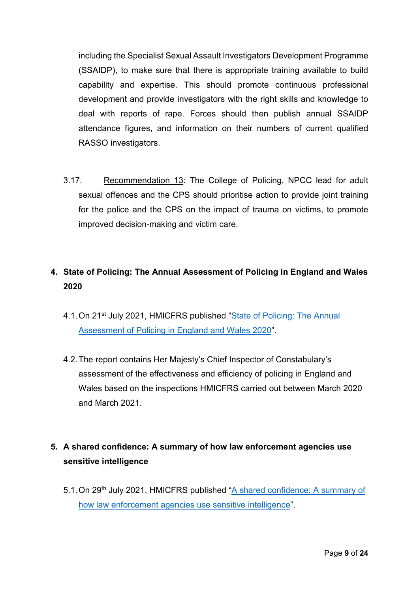including the Specialist Sexual Assault Investigators Development Programme (SSAIDP), to make sure that there is appropriate training available to build capability and expertise. This should promote continuous professional development and provide investigators with the right skills and knowledge to deal with reports of rape. Forces should then publish annual SSAIDP attendance figures, and information on their numbers of current qualified RASSO investigators.

3.17. Recommendation 13: The College of Policing, NPCC lead for adult sexual offences and the CPS should prioritise action to provide joint training for the police and the CPS on the impact of trauma on victims, to promote improved decision-making and victim care.

### **4. State of Policing: The Annual Assessment of Policing in England and Wales 2020**

- 4.1. On 21<sup>st</sup> July 2021, HMICFRS published "State of Policing: The Annual [Assessment of Policing in England and Wales 2020"](https://www.justiceinspectorates.gov.uk/hmicfrs/wp-content/uploads/state-of-policing-2020.pdf).
- 4.2.The report contains Her Majesty's Chief Inspector of Constabulary's assessment of the effectiveness and efficiency of policing in England and Wales based on the inspections HMICFRS carried out between March 2020 and March 2021.

# **5. A shared confidence: A summary of how law enforcement agencies use sensitive intelligence**

5.1.On 29th July 2021, HMICFRS published ["A shared confidence: A summary of](https://www.justiceinspectorates.gov.uk/hmicfrs/publication-html/summary-of-how-law-enforcement-agencies-use-sensitive-intelligence/)  [how law enforcement agencies use sensitive intelligence"](https://www.justiceinspectorates.gov.uk/hmicfrs/publication-html/summary-of-how-law-enforcement-agencies-use-sensitive-intelligence/).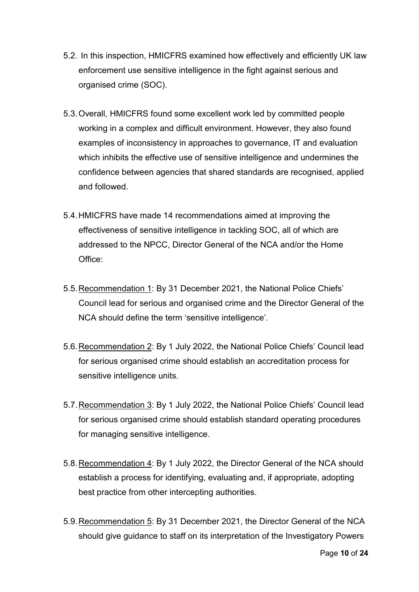- 5.2. In this inspection, HMICFRS examined how effectively and efficiently UK law enforcement use sensitive intelligence in the fight against serious and organised crime (SOC).
- 5.3.Overall, HMICFRS found some excellent work led by committed people working in a complex and difficult environment. However, they also found examples of inconsistency in approaches to governance, IT and evaluation which inhibits the effective use of sensitive intelligence and undermines the confidence between agencies that shared standards are recognised, applied and followed.
- 5.4.HMICFRS have made 14 recommendations aimed at improving the effectiveness of sensitive intelligence in tackling SOC, all of which are addressed to the NPCC, Director General of the NCA and/or the Home Office:
- 5.5.Recommendation 1: By 31 December 2021, the National Police Chiefs' Council lead for serious and organised crime and the Director General of the NCA should define the term 'sensitive intelligence'.
- 5.6.Recommendation 2: By 1 July 2022, the National Police Chiefs' Council lead for serious organised crime should establish an accreditation process for sensitive intelligence units.
- 5.7.Recommendation 3: By 1 July 2022, the National Police Chiefs' Council lead for serious organised crime should establish standard operating procedures for managing sensitive intelligence.
- 5.8.Recommendation 4: By 1 July 2022, the Director General of the NCA should establish a process for identifying, evaluating and, if appropriate, adopting best practice from other intercepting authorities.
- 5.9. Recommendation 5: By 31 December 2021, the Director General of the NCA should give guidance to staff on its interpretation of the Investigatory Powers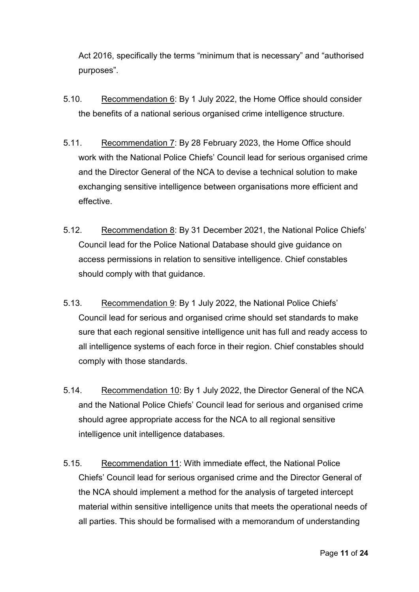Act 2016, specifically the terms "minimum that is necessary" and "authorised purposes".

- 5.10. Recommendation 6: By 1 July 2022, the Home Office should consider the benefits of a national serious organised crime intelligence structure.
- 5.11. Recommendation 7: By 28 February 2023, the Home Office should work with the National Police Chiefs' Council lead for serious organised crime and the Director General of the NCA to devise a technical solution to make exchanging sensitive intelligence between organisations more efficient and effective.
- 5.12. Recommendation 8: By 31 December 2021, the National Police Chiefs' Council lead for the Police National Database should give guidance on access permissions in relation to sensitive intelligence. Chief constables should comply with that guidance.
- 5.13. Recommendation 9: By 1 July 2022, the National Police Chiefs' Council lead for serious and organised crime should set standards to make sure that each regional sensitive intelligence unit has full and ready access to all intelligence systems of each force in their region. Chief constables should comply with those standards.
- 5.14. Recommendation 10: By 1 July 2022, the Director General of the NCA and the National Police Chiefs' Council lead for serious and organised crime should agree appropriate access for the NCA to all regional sensitive intelligence unit intelligence databases.
- 5.15. Recommendation 11: With immediate effect, the National Police Chiefs' Council lead for serious organised crime and the Director General of the NCA should implement a method for the analysis of targeted intercept material within sensitive intelligence units that meets the operational needs of all parties. This should be formalised with a memorandum of understanding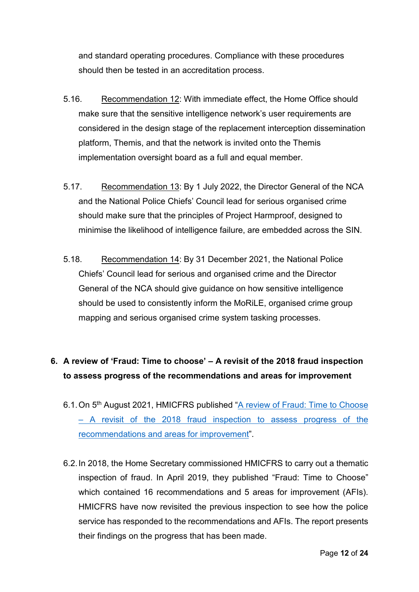and standard operating procedures. Compliance with these procedures should then be tested in an accreditation process.

- 5.16. Recommendation 12: With immediate effect, the Home Office should make sure that the sensitive intelligence network's user requirements are considered in the design stage of the replacement interception dissemination platform, Themis, and that the network is invited onto the Themis implementation oversight board as a full and equal member.
- 5.17. Recommendation 13: By 1 July 2022, the Director General of the NCA and the National Police Chiefs' Council lead for serious organised crime should make sure that the principles of Project Harmproof, designed to minimise the likelihood of intelligence failure, are embedded across the SIN.
- 5.18. Recommendation 14: By 31 December 2021, the National Police Chiefs' Council lead for serious and organised crime and the Director General of the NCA should give guidance on how sensitive intelligence should be used to consistently inform the MoRiLE, organised crime group mapping and serious organised crime system tasking processes.

## **6. A review of 'Fraud: Time to choose' – A revisit of the 2018 fraud inspection to assess progress of the recommendations and areas for improvement**

- 6.1. On 5<sup>th</sup> August 2021, HMICFRS published "A review of Fraud: Time to Choose – [A revisit of the 2018 fraud inspection to assess progress of the](https://www.justiceinspectorates.gov.uk/hmicfrs/wp-content/uploads/a-review-of-fraud-time-to-choose.pdf)  [recommendations and areas for improvement"](https://www.justiceinspectorates.gov.uk/hmicfrs/wp-content/uploads/a-review-of-fraud-time-to-choose.pdf).
- 6.2.In 2018, the Home Secretary commissioned HMICFRS to carry out a thematic inspection of fraud. In April 2019, they published "Fraud: Time to Choose" which contained 16 recommendations and 5 areas for improvement (AFIs). HMICFRS have now revisited the previous inspection to see how the police service has responded to the recommendations and AFIs. The report presents their findings on the progress that has been made.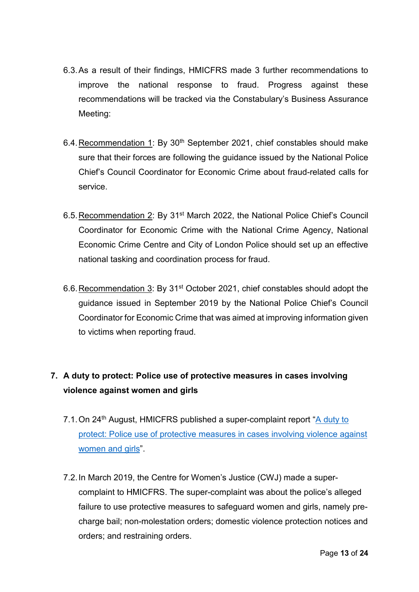- 6.3.As a result of their findings, HMICFRS made 3 further recommendations to improve the national response to fraud. Progress against these recommendations will be tracked via the Constabulary's Business Assurance Meeting:
- 6.4. Recommendation 1: By 30<sup>th</sup> September 2021, chief constables should make sure that their forces are following the guidance issued by the National Police Chief's Council Coordinator for Economic Crime about fraud-related calls for service.
- 6.5.Recommendation 2: By 31st March 2022, the National Police Chief's Council Coordinator for Economic Crime with the National Crime Agency, National Economic Crime Centre and City of London Police should set up an effective national tasking and coordination process for fraud.
- 6.6.Recommendation 3: By 31st October 2021, chief constables should adopt the guidance issued in September 2019 by the National Police Chief's Council Coordinator for Economic Crime that was aimed at improving information given to victims when reporting fraud.

# **7. A duty to protect: Police use of protective measures in cases involving violence against women and girls**

- 7.1.On 24th August, HMICFRS published a super-complaint report ["A duty to](https://assets.publishing.service.gov.uk/government/uploads/system/uploads/attachment_data/file/1012890/a-duty-to-protect-police-use-of-protective-measures-cases-involving-violence-against-women-and-girls.pdf)  [protect: Police use of protective measures in cases involving violence against](https://assets.publishing.service.gov.uk/government/uploads/system/uploads/attachment_data/file/1012890/a-duty-to-protect-police-use-of-protective-measures-cases-involving-violence-against-women-and-girls.pdf)  [women and girls"](https://assets.publishing.service.gov.uk/government/uploads/system/uploads/attachment_data/file/1012890/a-duty-to-protect-police-use-of-protective-measures-cases-involving-violence-against-women-and-girls.pdf).
- 7.2.In March 2019, the Centre for Women's Justice (CWJ) made a supercomplaint to HMICFRS. The super-complaint was about the police's alleged failure to use protective measures to safeguard women and girls, namely precharge bail; non-molestation orders; domestic violence protection notices and orders; and restraining orders.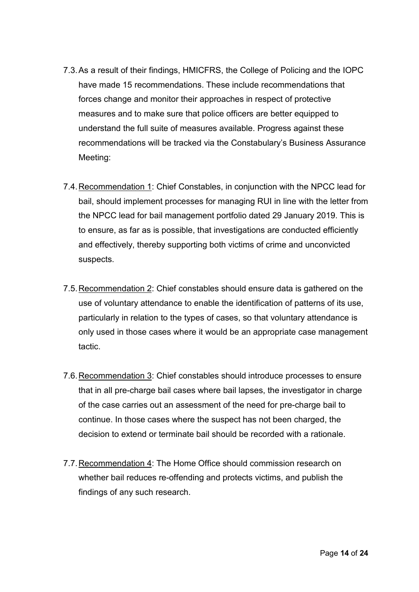- 7.3.As a result of their findings, HMICFRS, the College of Policing and the IOPC have made 15 recommendations. These include recommendations that forces change and monitor their approaches in respect of protective measures and to make sure that police officers are better equipped to understand the full suite of measures available. Progress against these recommendations will be tracked via the Constabulary's Business Assurance Meeting:
- 7.4. Recommendation 1: Chief Constables, in conjunction with the NPCC lead for bail, should implement processes for managing RUI in line with the letter from the NPCC lead for bail management portfolio dated 29 January 2019. This is to ensure, as far as is possible, that investigations are conducted efficiently and effectively, thereby supporting both victims of crime and unconvicted suspects.
- 7.5.Recommendation 2: Chief constables should ensure data is gathered on the use of voluntary attendance to enable the identification of patterns of its use, particularly in relation to the types of cases, so that voluntary attendance is only used in those cases where it would be an appropriate case management tactic.
- 7.6.Recommendation 3: Chief constables should introduce processes to ensure that in all pre-charge bail cases where bail lapses, the investigator in charge of the case carries out an assessment of the need for pre-charge bail to continue. In those cases where the suspect has not been charged, the decision to extend or terminate bail should be recorded with a rationale.
- 7.7.Recommendation 4: The Home Office should commission research on whether bail reduces re-offending and protects victims, and publish the findings of any such research.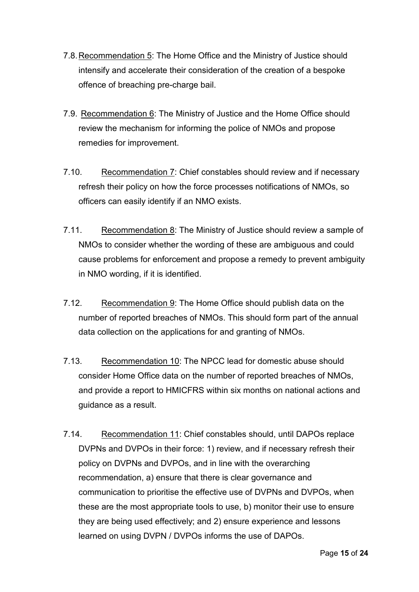- 7.8.Recommendation 5: The Home Office and the Ministry of Justice should intensify and accelerate their consideration of the creation of a bespoke offence of breaching pre-charge bail.
- 7.9. Recommendation 6: The Ministry of Justice and the Home Office should review the mechanism for informing the police of NMOs and propose remedies for improvement.
- 7.10. Recommendation 7: Chief constables should review and if necessary refresh their policy on how the force processes notifications of NMOs, so officers can easily identify if an NMO exists.
- 7.11. Recommendation 8: The Ministry of Justice should review a sample of NMOs to consider whether the wording of these are ambiguous and could cause problems for enforcement and propose a remedy to prevent ambiguity in NMO wording, if it is identified.
- 7.12. Recommendation 9: The Home Office should publish data on the number of reported breaches of NMOs. This should form part of the annual data collection on the applications for and granting of NMOs.
- 7.13. Recommendation 10: The NPCC lead for domestic abuse should consider Home Office data on the number of reported breaches of NMOs, and provide a report to HMICFRS within six months on national actions and guidance as a result.
- 7.14. Recommendation 11: Chief constables should, until DAPOs replace DVPNs and DVPOs in their force: 1) review, and if necessary refresh their policy on DVPNs and DVPOs, and in line with the overarching recommendation, a) ensure that there is clear governance and communication to prioritise the effective use of DVPNs and DVPOs, when these are the most appropriate tools to use, b) monitor their use to ensure they are being used effectively; and 2) ensure experience and lessons learned on using DVPN / DVPOs informs the use of DAPOs.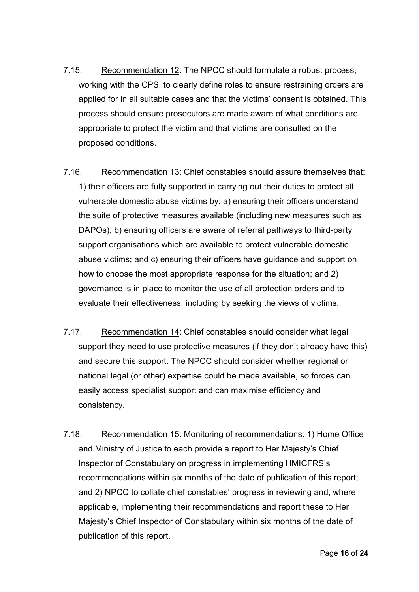- 7.15. Recommendation 12: The NPCC should formulate a robust process, working with the CPS, to clearly define roles to ensure restraining orders are applied for in all suitable cases and that the victims' consent is obtained. This process should ensure prosecutors are made aware of what conditions are appropriate to protect the victim and that victims are consulted on the proposed conditions.
- 7.16. Recommendation 13: Chief constables should assure themselves that: 1) their officers are fully supported in carrying out their duties to protect all vulnerable domestic abuse victims by: a) ensuring their officers understand the suite of protective measures available (including new measures such as DAPOs); b) ensuring officers are aware of referral pathways to third-party support organisations which are available to protect vulnerable domestic abuse victims; and c) ensuring their officers have guidance and support on how to choose the most appropriate response for the situation; and 2) governance is in place to monitor the use of all protection orders and to evaluate their effectiveness, including by seeking the views of victims.
- 7.17. Recommendation 14: Chief constables should consider what legal support they need to use protective measures (if they don't already have this) and secure this support. The NPCC should consider whether regional or national legal (or other) expertise could be made available, so forces can easily access specialist support and can maximise efficiency and consistency.
- 7.18. Recommendation 15: Monitoring of recommendations: 1) Home Office and Ministry of Justice to each provide a report to Her Majesty's Chief Inspector of Constabulary on progress in implementing HMICFRS's recommendations within six months of the date of publication of this report; and 2) NPCC to collate chief constables' progress in reviewing and, where applicable, implementing their recommendations and report these to Her Majesty's Chief Inspector of Constabulary within six months of the date of publication of this report.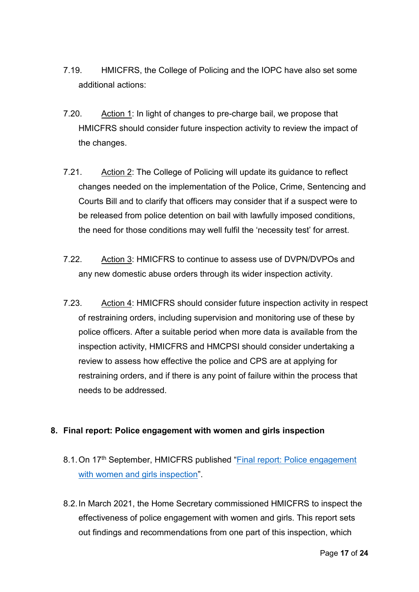- 7.19. HMICFRS, the College of Policing and the IOPC have also set some additional actions:
- 7.20. Action 1: In light of changes to pre-charge bail, we propose that HMICFRS should consider future inspection activity to review the impact of the changes.
- 7.21. Action 2: The College of Policing will update its guidance to reflect changes needed on the implementation of the Police, Crime, Sentencing and Courts Bill and to clarify that officers may consider that if a suspect were to be released from police detention on bail with lawfully imposed conditions, the need for those conditions may well fulfil the 'necessity test' for arrest.
- 7.22. Action 3: HMICFRS to continue to assess use of DVPN/DVPOs and any new domestic abuse orders through its wider inspection activity.
- 7.23. Action 4: HMICFRS should consider future inspection activity in respect of restraining orders, including supervision and monitoring use of these by police officers. After a suitable period when more data is available from the inspection activity, HMICFRS and HMCPSI should consider undertaking a review to assess how effective the police and CPS are at applying for restraining orders, and if there is any point of failure within the process that needs to be addressed.

### **8. Final report: Police engagement with women and girls inspection**

- 8.1. On 17<sup>th</sup> September, HMICFRS published "Final report: Police engagement [with women and girls inspection"](https://www.justiceinspectorates.gov.uk/hmicfrs/wp-content/uploads/police-response-to-violence-against-women-and-girls-final-inspection-report.pdf).
- 8.2.In March 2021, the Home Secretary commissioned HMICFRS to inspect the effectiveness of police engagement with women and girls. This report sets out findings and recommendations from one part of this inspection, which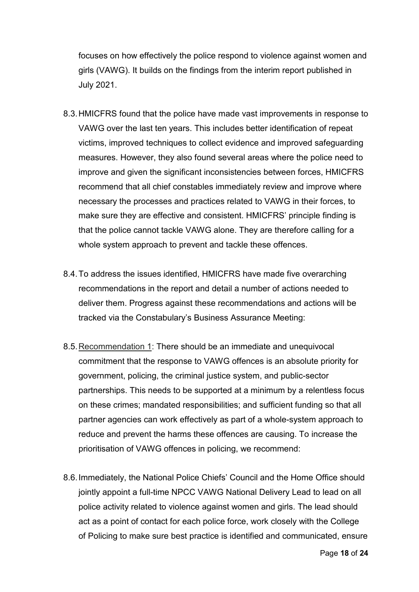focuses on how effectively the police respond to violence against women and girls (VAWG). It builds on the findings from the interim report published in July 2021.

- 8.3.HMICFRS found that the police have made vast improvements in response to VAWG over the last ten years. This includes better identification of repeat victims, improved techniques to collect evidence and improved safeguarding measures. However, they also found several areas where the police need to improve and given the significant inconsistencies between forces, HMICFRS recommend that all chief constables immediately review and improve where necessary the processes and practices related to VAWG in their forces, to make sure they are effective and consistent. HMICFRS' principle finding is that the police cannot tackle VAWG alone. They are therefore calling for a whole system approach to prevent and tackle these offences.
- 8.4.To address the issues identified, HMICFRS have made five overarching recommendations in the report and detail a number of actions needed to deliver them. Progress against these recommendations and actions will be tracked via the Constabulary's Business Assurance Meeting:
- 8.5.Recommendation 1: There should be an immediate and unequivocal commitment that the response to VAWG offences is an absolute priority for government, policing, the criminal justice system, and public-sector partnerships. This needs to be supported at a minimum by a relentless focus on these crimes; mandated responsibilities; and sufficient funding so that all partner agencies can work effectively as part of a whole-system approach to reduce and prevent the harms these offences are causing. To increase the prioritisation of VAWG offences in policing, we recommend:
- 8.6.Immediately, the National Police Chiefs' Council and the Home Office should jointly appoint a full-time NPCC VAWG National Delivery Lead to lead on all police activity related to violence against women and girls. The lead should act as a point of contact for each police force, work closely with the College of Policing to make sure best practice is identified and communicated, ensure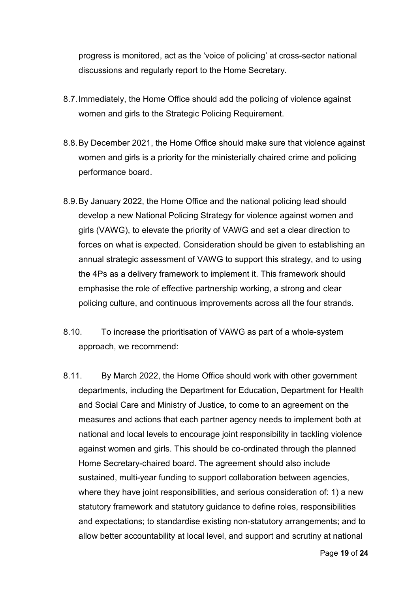progress is monitored, act as the 'voice of policing' at cross-sector national discussions and regularly report to the Home Secretary.

- 8.7.Immediately, the Home Office should add the policing of violence against women and girls to the Strategic Policing Requirement.
- 8.8.By December 2021, the Home Office should make sure that violence against women and girls is a priority for the ministerially chaired crime and policing performance board.
- 8.9.By January 2022, the Home Office and the national policing lead should develop a new National Policing Strategy for violence against women and girls (VAWG), to elevate the priority of VAWG and set a clear direction to forces on what is expected. Consideration should be given to establishing an annual strategic assessment of VAWG to support this strategy, and to using the 4Ps as a delivery framework to implement it. This framework should emphasise the role of effective partnership working, a strong and clear policing culture, and continuous improvements across all the four strands.
- 8.10. To increase the prioritisation of VAWG as part of a whole-system approach, we recommend:
- 8.11. By March 2022, the Home Office should work with other government departments, including the Department for Education, Department for Health and Social Care and Ministry of Justice, to come to an agreement on the measures and actions that each partner agency needs to implement both at national and local levels to encourage joint responsibility in tackling violence against women and girls. This should be co-ordinated through the planned Home Secretary-chaired board. The agreement should also include sustained, multi-year funding to support collaboration between agencies, where they have joint responsibilities, and serious consideration of: 1) a new statutory framework and statutory guidance to define roles, responsibilities and expectations; to standardise existing non-statutory arrangements; and to allow better accountability at local level, and support and scrutiny at national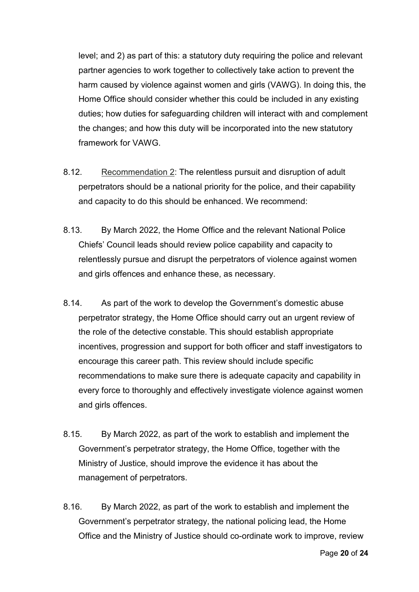level; and 2) as part of this: a statutory duty requiring the police and relevant partner agencies to work together to collectively take action to prevent the harm caused by violence against women and girls (VAWG). In doing this, the Home Office should consider whether this could be included in any existing duties; how duties for safeguarding children will interact with and complement the changes; and how this duty will be incorporated into the new statutory framework for VAWG.

- 8.12. Recommendation 2: The relentless pursuit and disruption of adult perpetrators should be a national priority for the police, and their capability and capacity to do this should be enhanced. We recommend:
- 8.13. By March 2022, the Home Office and the relevant National Police Chiefs' Council leads should review police capability and capacity to relentlessly pursue and disrupt the perpetrators of violence against women and girls offences and enhance these, as necessary.
- 8.14. As part of the work to develop the Government's domestic abuse perpetrator strategy, the Home Office should carry out an urgent review of the role of the detective constable. This should establish appropriate incentives, progression and support for both officer and staff investigators to encourage this career path. This review should include specific recommendations to make sure there is adequate capacity and capability in every force to thoroughly and effectively investigate violence against women and girls offences.
- 8.15. By March 2022, as part of the work to establish and implement the Government's perpetrator strategy, the Home Office, together with the Ministry of Justice, should improve the evidence it has about the management of perpetrators.
- 8.16. By March 2022, as part of the work to establish and implement the Government's perpetrator strategy, the national policing lead, the Home Office and the Ministry of Justice should co-ordinate work to improve, review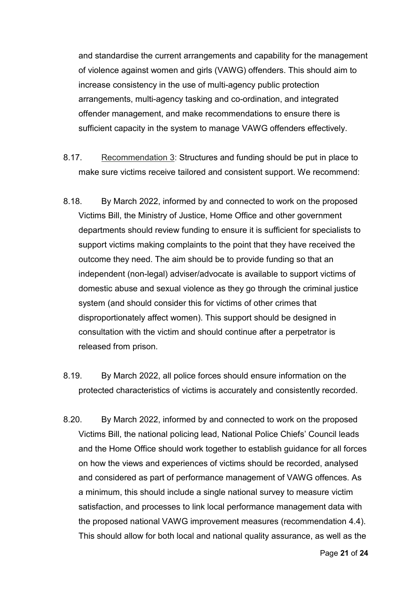and standardise the current arrangements and capability for the management of violence against women and girls (VAWG) offenders. This should aim to increase consistency in the use of multi-agency public protection arrangements, multi-agency tasking and co-ordination, and integrated offender management, and make recommendations to ensure there is sufficient capacity in the system to manage VAWG offenders effectively.

- 8.17. Recommendation 3: Structures and funding should be put in place to make sure victims receive tailored and consistent support. We recommend:
- 8.18. By March 2022, informed by and connected to work on the proposed Victims Bill, the Ministry of Justice, Home Office and other government departments should review funding to ensure it is sufficient for specialists to support victims making complaints to the point that they have received the outcome they need. The aim should be to provide funding so that an independent (non-legal) adviser/advocate is available to support victims of domestic abuse and sexual violence as they go through the criminal justice system (and should consider this for victims of other crimes that disproportionately affect women). This support should be designed in consultation with the victim and should continue after a perpetrator is released from prison.
- 8.19. By March 2022, all police forces should ensure information on the protected characteristics of victims is accurately and consistently recorded.
- 8.20. By March 2022, informed by and connected to work on the proposed Victims Bill, the national policing lead, National Police Chiefs' Council leads and the Home Office should work together to establish guidance for all forces on how the views and experiences of victims should be recorded, analysed and considered as part of performance management of VAWG offences. As a minimum, this should include a single national survey to measure victim satisfaction, and processes to link local performance management data with the proposed national VAWG improvement measures (recommendation 4.4). This should allow for both local and national quality assurance, as well as the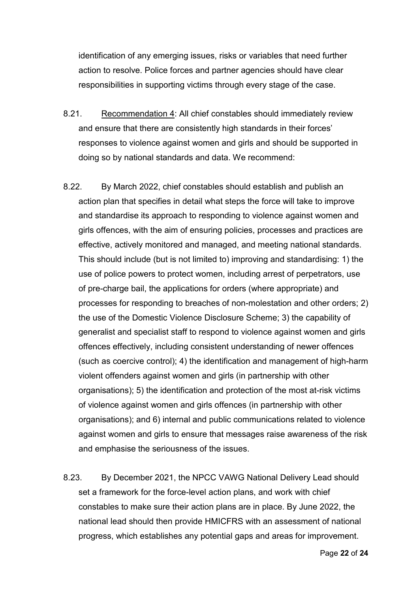identification of any emerging issues, risks or variables that need further action to resolve. Police forces and partner agencies should have clear responsibilities in supporting victims through every stage of the case.

- 8.21. Recommendation 4: All chief constables should immediately review and ensure that there are consistently high standards in their forces' responses to violence against women and girls and should be supported in doing so by national standards and data. We recommend:
- 8.22. By March 2022, chief constables should establish and publish an action plan that specifies in detail what steps the force will take to improve and standardise its approach to responding to violence against women and girls offences, with the aim of ensuring policies, processes and practices are effective, actively monitored and managed, and meeting national standards. This should include (but is not limited to) improving and standardising: 1) the use of police powers to protect women, including arrest of perpetrators, use of pre-charge bail, the applications for orders (where appropriate) and processes for responding to breaches of non-molestation and other orders; 2) the use of the Domestic Violence Disclosure Scheme; 3) the capability of generalist and specialist staff to respond to violence against women and girls offences effectively, including consistent understanding of newer offences (such as coercive control); 4) the identification and management of high-harm violent offenders against women and girls (in partnership with other organisations); 5) the identification and protection of the most at-risk victims of violence against women and girls offences (in partnership with other organisations); and 6) internal and public communications related to violence against women and girls to ensure that messages raise awareness of the risk and emphasise the seriousness of the issues.
- 8.23. By December 2021, the NPCC VAWG National Delivery Lead should set a framework for the force-level action plans, and work with chief constables to make sure their action plans are in place. By June 2022, the national lead should then provide HMICFRS with an assessment of national progress, which establishes any potential gaps and areas for improvement.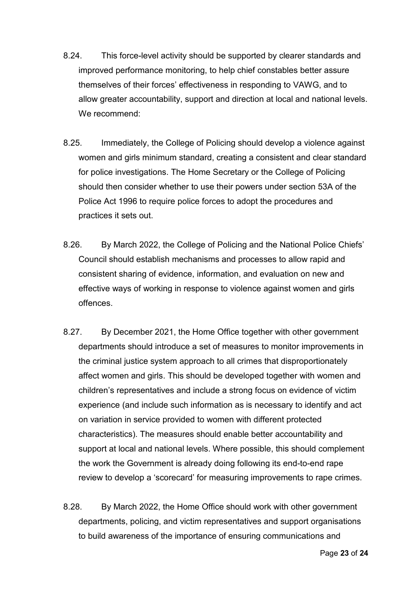- 8.24. This force-level activity should be supported by clearer standards and improved performance monitoring, to help chief constables better assure themselves of their forces' effectiveness in responding to VAWG, and to allow greater accountability, support and direction at local and national levels. We recommend:
- 8.25. Immediately, the College of Policing should develop a violence against women and girls minimum standard, creating a consistent and clear standard for police investigations. The Home Secretary or the College of Policing should then consider whether to use their powers under section 53A of the Police Act 1996 to require police forces to adopt the procedures and practices it sets out.
- 8.26. By March 2022, the College of Policing and the National Police Chiefs' Council should establish mechanisms and processes to allow rapid and consistent sharing of evidence, information, and evaluation on new and effective ways of working in response to violence against women and girls offences.
- 8.27. By December 2021, the Home Office together with other government departments should introduce a set of measures to monitor improvements in the criminal justice system approach to all crimes that disproportionately affect women and girls. This should be developed together with women and children's representatives and include a strong focus on evidence of victim experience (and include such information as is necessary to identify and act on variation in service provided to women with different protected characteristics). The measures should enable better accountability and support at local and national levels. Where possible, this should complement the work the Government is already doing following its end-to-end rape review to develop a 'scorecard' for measuring improvements to rape crimes.
- 8.28. By March 2022, the Home Office should work with other government departments, policing, and victim representatives and support organisations to build awareness of the importance of ensuring communications and